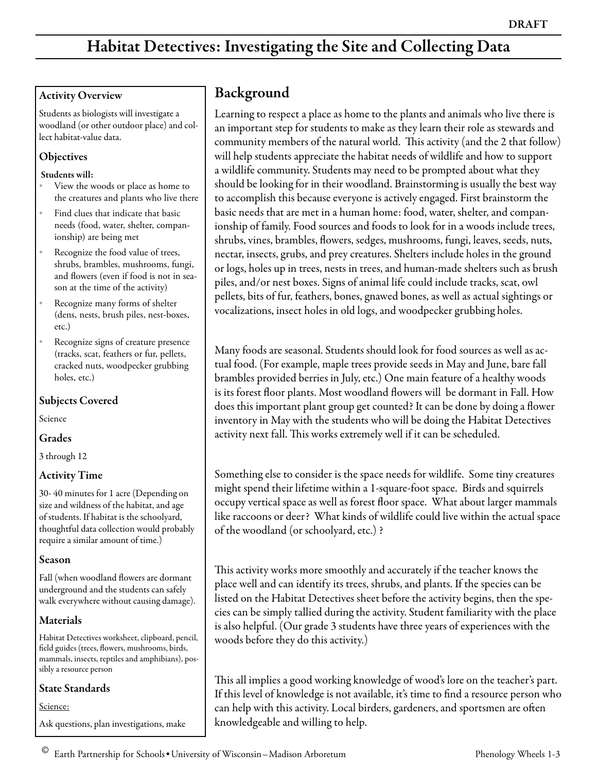# Habitat Detectives: Investigating the Site and Collecting Data

#### Activity Overview

Students as biologists will investigate a woodland (or other outdoor place) and collect habitat-value data.

#### **Objectives**

#### Students will:

- View the woods or place as home to the creatures and plants who live there
- Find clues that indicate that basic needs (food, water, shelter, companionship) are being met
- Recognize the food value of trees, shrubs, brambles, mushrooms, fungi, and flowers (even if food is not in season at the time of the activity)
- Recognize many forms of shelter (dens, nests, brush piles, nest-boxes, etc.)
- Recognize signs of creature presence (tracks, scat, feathers or fur, pellets, cracked nuts, woodpecker grubbing holes, etc.)

#### Subjects Covered

Science

#### Grades

3 through 12

#### Activity Time

30- 40 minutes for 1 acre (Depending on size and wildness of the habitat, and age of students. If habitat is the schoolyard, thoughtful data collection would probably require a similar amount of time.)

#### Season

Fall (when woodland flowers are dormant underground and the students can safely walk everywhere without causing damage).

#### Materials

Habitat Detectives worksheet, clipboard, pencil, field guides (trees, flowers, mushrooms, birds, mammals, insects, reptiles and amphibians), possibly a resource person

#### State Standards

Science:

Ask questions, plan investigations, make

## Background

Learning to respect a place as home to the plants and animals who live there is an important step for students to make as they learn their role as stewards and community members of the natural world. This activity (and the 2 that follow) will help students appreciate the habitat needs of wildlife and how to support a wildlife community. Students may need to be prompted about what they should be looking for in their woodland. Brainstorming is usually the best way to accomplish this because everyone is actively engaged. First brainstorm the basic needs that are met in a human home: food, water, shelter, and companionship of family. Food sources and foods to look for in a woods include trees, shrubs, vines, brambles, flowers, sedges, mushrooms, fungi, leaves, seeds, nuts, nectar, insects, grubs, and prey creatures. Shelters include holes in the ground or logs, holes up in trees, nests in trees, and human-made shelters such as brush piles, and/or nest boxes. Signs of animal life could include tracks, scat, owl pellets, bits of fur, feathers, bones, gnawed bones, as well as actual sightings or vocalizations, insect holes in old logs, and woodpecker grubbing holes.

Many foods are seasonal. Students should look for food sources as well as actual food. (For example, maple trees provide seeds in May and June, bare fall brambles provided berries in July, etc.) One main feature of a healthy woods is its forest floor plants. Most woodland flowers will be dormant in Fall. How does this important plant group get counted? It can be done by doing a flower inventory in May with the students who will be doing the Habitat Detectives activity next fall. This works extremely well if it can be scheduled.

Something else to consider is the space needs for wildlife. Some tiny creatures might spend their lifetime within a 1-square-foot space. Birds and squirrels occupy vertical space as well as forest floor space. What about larger mammals like raccoons or deer? What kinds of wildlife could live within the actual space of the woodland (or schoolyard, etc.) ?

This activity works more smoothly and accurately if the teacher knows the place well and can identify its trees, shrubs, and plants. If the species can be listed on the Habitat Detectives sheet before the activity begins, then the species can be simply tallied during the activity. Student familiarity with the place is also helpful. (Our grade 3 students have three years of experiences with the woods before they do this activity.)

This all implies a good working knowledge of wood's lore on the teacher's part. If this level of knowledge is not available, it's time to find a resource person who can help with this activity. Local birders, gardeners, and sportsmen are often knowledgeable and willing to help.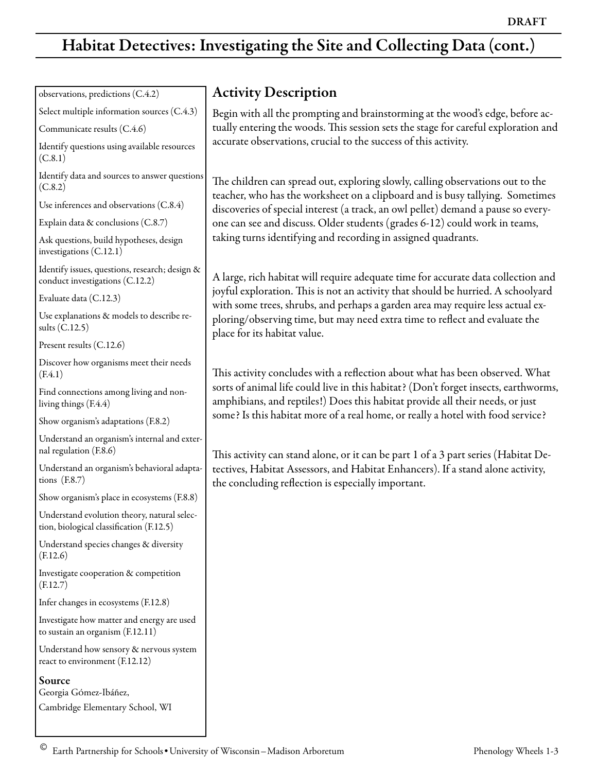## Habitat Detectives: Investigating the Site and Collecting Data (cont.)

observations, predictions (C.4.2)

Select multiple information sources (C.4.3)

Communicate results (C.4.6)

Identify questions using available resources  $(C.8.1)$ 

Identify data and sources to answer questions (C.8.2)

Use inferences and observations (C.8.4)

Explain data & conclusions (C.8.7)

Ask questions, build hypotheses, design investigations (C.12.1)

Identify issues, questions, research; design & conduct investigations (C.12.2)

Evaluate data (C.12.3)

Use explanations & models to describe results (C.12.5)

Present results (C.12.6)

Discover how organisms meet their needs (F.4.1)

Find connections among living and nonliving things (F.4.4)

Show organism's adaptations (F.8.2)

Understand an organism's internal and external regulation (F.8.6)

Understand an organism's behavioral adaptations (F.8.7)

Show organism's place in ecosystems (F.8.8)

Understand evolution theory, natural selection, biological classification (F.12.5)

Understand species changes & diversity (F.12.6)

Investigate cooperation & competition (F.12.7)

Infer changes in ecosystems (F.12.8)

Investigate how matter and energy are used to sustain an organism (F.12.11)

Understand how sensory & nervous system react to environment (F.12.12)

Source

Georgia GÓmez-Ibáñez,

Cambridge Elementary School, WI

## Activity Description

Begin with all the prompting and brainstorming at the wood's edge, before actually entering the woods. This session sets the stage for careful exploration and accurate observations, crucial to the success of this activity.

The children can spread out, exploring slowly, calling observations out to the teacher, who has the worksheet on a clipboard and is busy tallying. Sometimes discoveries of special interest (a track, an owl pellet) demand a pause so everyone can see and discuss. Older students (grades 6-12) could work in teams, taking turns identifying and recording in assigned quadrants.

A large, rich habitat will require adequate time for accurate data collection and joyful exploration. This is not an activity that should be hurried. A schoolyard with some trees, shrubs, and perhaps a garden area may require less actual exploring/observing time, but may need extra time to reflect and evaluate the place for its habitat value.

This activity concludes with a reflection about what has been observed. What sorts of animal life could live in this habitat? (Don't forget insects, earthworms, amphibians, and reptiles!) Does this habitat provide all their needs, or just some? Is this habitat more of a real home, or really a hotel with food service?

This activity can stand alone, or it can be part 1 of a 3 part series (Habitat Detectives, Habitat Assessors, and Habitat Enhancers). If a stand alone activity, the concluding reflection is especially important.